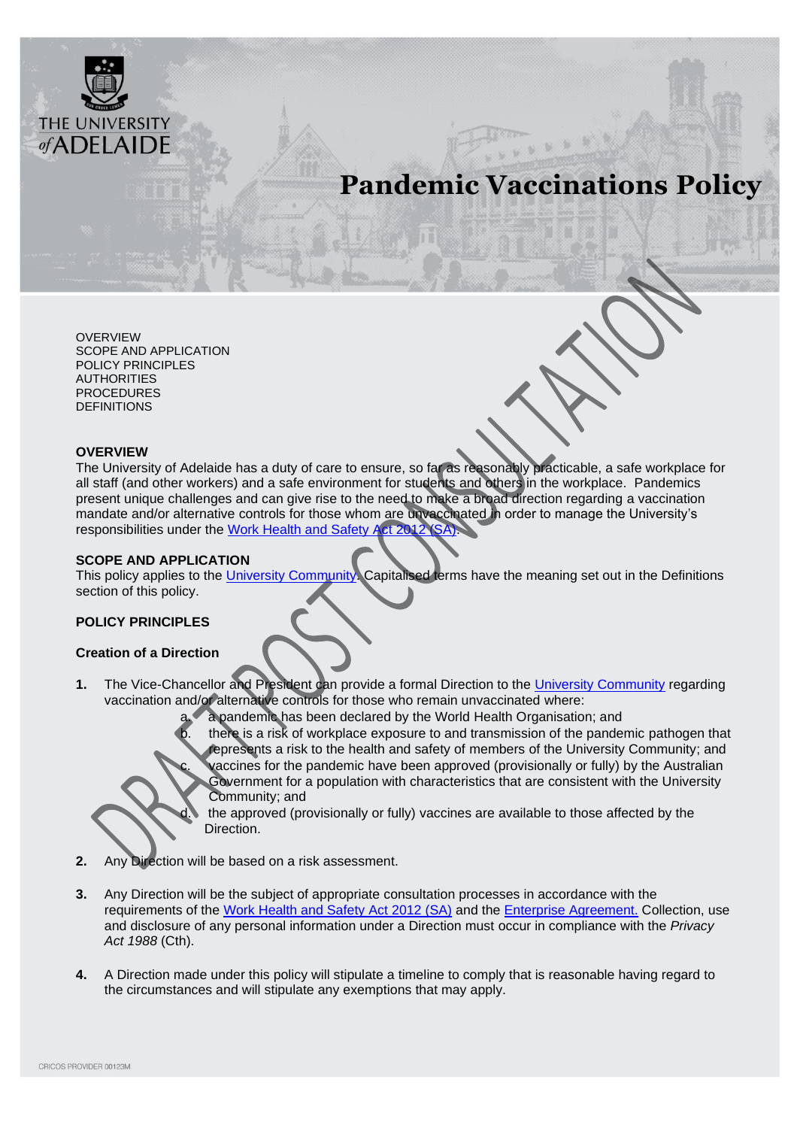

# **Pandemic Vaccinations Policy**

[OVERVIEW](#page-0-0) [SCOPE AND APPLICATION](#page-0-1) [POLICY PRINCIPLES](#page-0-2) AUTHORITIES [PROCEDURES](#page-1-0) **[DEFINITIONS](#page-2-0)** 

#### <span id="page-0-0"></span>**OVERVIEW**

The University of Adelaide has a duty of care to ensure, so far as reasonably practicable, a safe workplace for all staff (and other workers) and a safe environment for students and others in the workplace. Pandemics present unique challenges and can give rise to the need to make a broad direction regarding a vaccination mandate and/or alternative controls for those whom are unvaccinated in order to manage the University's responsibilities under the [Work Health and Safety Act](https://www.legislation.sa.gov.au/lz?path=%2FC%2FA%2FWORK%20HEALTH%20AND%20SAFETY%20ACT%202012) 2012 (SA).

#### <span id="page-0-1"></span>**SCOPE AND APPLICATION**

This policy applies to the *University Community*. Capitalised terms have the meaning set out in the Definitions section of this policy.

#### <span id="page-0-2"></span>**POLICY PRINCIPLES**

#### **Creation of a Direction**

**1.** The Vice-Chancellor and President can provide a formal Direction to the [University Community](#page-3-0) regarding vaccination and/or alternative controls for those who remain unvaccinated where:

a. a pandemic has been declared by the World Health Organisation; and

there is a risk of workplace exposure to and transmission of the pandemic pathogen that represents a risk to the health and safety of members of the University Community; and raccines for the pandemic have been approved (provisionally or fully) by the Australian Government for a population with characteristics that are consistent with the University Community; and

the approved (provisionally or fully) vaccines are available to those affected by the Direction.

- **2.** Any Direction will be based on a risk assessment.
- **3.** Any Direction will be the subject of appropriate consultation processes in accordance with the requirements of the [Work Health and Safety Act](https://www.legislation.sa.gov.au/lz?path=%2FC%2FA%2FWORK%20HEALTH%20AND%20SAFETY%20ACT%202012) 2012 (SA) and the [Enterprise Agreement.](https://www.adelaide.edu.au/hr/ua/media/1089/enterprise-agreement.pdf) Collection, use and disclosure of any personal information under a Direction must occur in compliance with the *Privacy Act 1988* (Cth).
- **4.** A Direction made under this policy will stipulate a timeline to comply that is reasonable having regard to the circumstances and will stipulate any exemptions that may apply.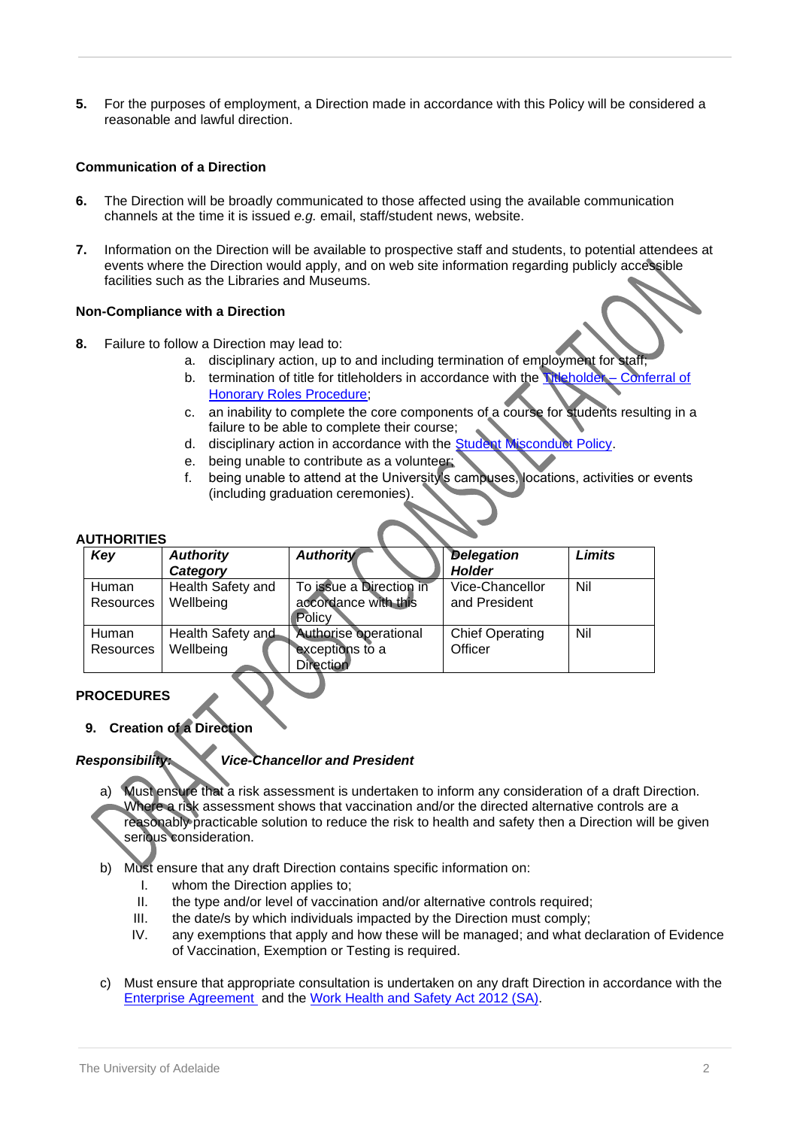**5.** For the purposes of employment, a Direction made in accordance with this Policy will be considered a reasonable and lawful direction.

## **Communication of a Direction**

- **6.** The Direction will be broadly communicated to those affected using the available communication channels at the time it is issued *e.g.* email, staff/student news, website.
- **7.** Information on the Direction will be available to prospective staff and students, to potential attendees at events where the Direction would apply, and on web site information regarding publicly accessible facilities such as the Libraries and Museums.

#### **Non-Compliance with a Direction**

- **8.** Failure to follow a Direction may lead to:
	- a. disciplinary action, up to and including termination of employment for staff;<br>b. termination of title for titleholders in accordance with the **Meholder** Conferral of
	- b. termination of title for titleholders in accordance with the Titleholder [Honorary Roles Procedure;](https://www.adelaide.edu.au/policies/177/?dsn=policy.document;field=data;id=7366;m=view)
	- c. an inability to complete the core components of a course for students resulting in a failure to be able to complete their course;
	- d. disciplinary action in accordance with the **Student Misconduct Policy**.
	- e. being unable to contribute as a volunteer;
	- f. being unable to attend at the University's campuses, locations, activities or events (including graduation ceremonies).

#### **AUTHORITIES**

| Key       | <b>Authority</b>  | <b>Authority</b>        | <b>Delegation</b>      | Limits |
|-----------|-------------------|-------------------------|------------------------|--------|
|           | Category          |                         | <b>Holder</b>          |        |
| Human     | Health Safety and | To issue a Direction in | Vice-Chancellor        | Nil    |
| Resources | Wellbeing         | accordance with this    | and President          |        |
|           |                   | Policy                  |                        |        |
| Human     | Health Safety and | Authorise operational   | <b>Chief Operating</b> | Nil    |
| Resources | Wellbeing         | exceptions to a         | Officer                |        |
|           |                   | Direction               |                        |        |

# <span id="page-1-0"></span>**PROCEDURES**

**9. Creation of a Direction**

#### *Responsibility: Vice-Chancellor and President*

- a) Must ensure that a risk assessment is undertaken to inform any consideration of a draft Direction. Where a risk assessment shows that vaccination and/or the directed alternative controls are a reasonably practicable solution to reduce the risk to health and safety then a Direction will be given serious consideration.
- b) Must ensure that any draft Direction contains specific information on:
	- I. whom the Direction applies to;
	- II. the type and/or level of vaccination and/or alternative controls required;
	- III. the date/s by which individuals impacted by the Direction must comply;
	- IV. any exemptions that apply and how these will be managed; and what declaration of Evidence of Vaccination, Exemption or Testing is required.
- c) Must ensure that appropriate consultation is undertaken on any draft Direction in accordance with the [Enterprise Agreement](https://www.adelaide.edu.au/hr/ua/media/1089/enterprise-agreement.pdf) and the [Work Health and Safety Act](https://www.legislation.sa.gov.au/lz?path=%2FC%2FA%2FWORK%20HEALTH%20AND%20SAFETY%20ACT%202012) 2012 (SA).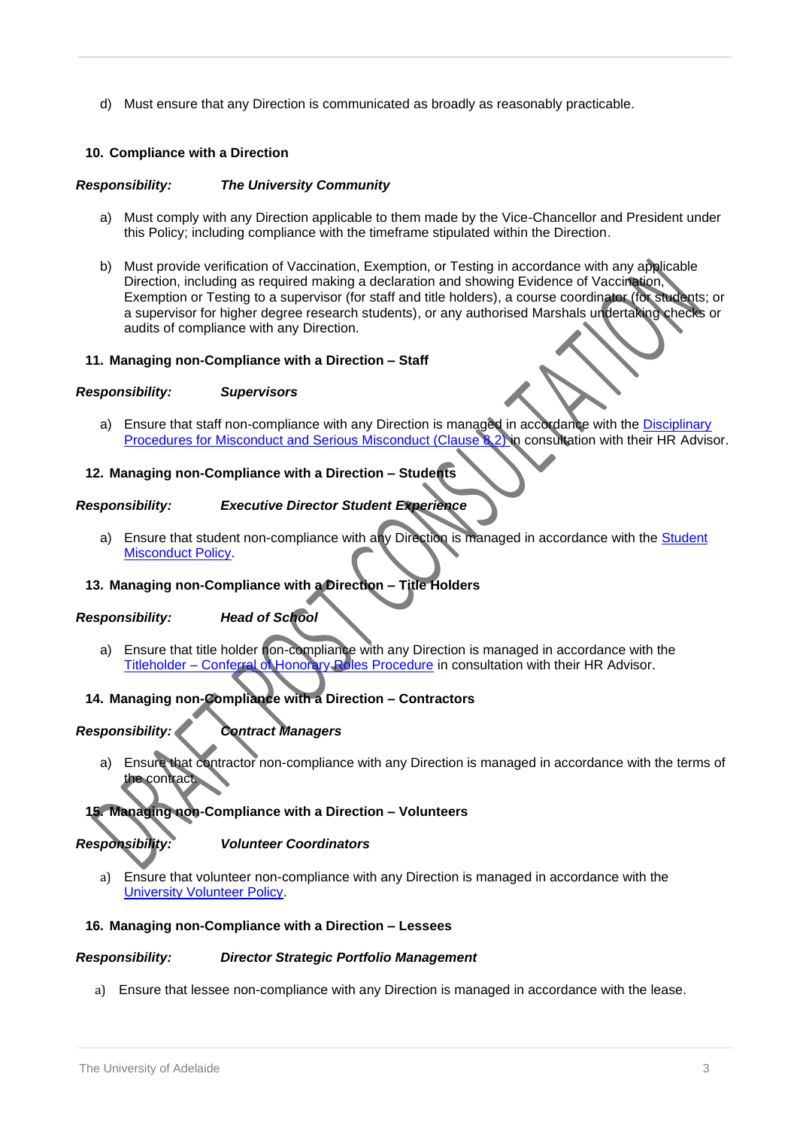d) Must ensure that any Direction is communicated as broadly as reasonably practicable.

# **10. Compliance with a Direction**

## *Responsibility: The University Community*

- a) Must comply with any Direction applicable to them made by the Vice-Chancellor and President under this Policy; including compliance with the timeframe stipulated within the Direction.
- b) Must provide verification of Vaccination, Exemption, or Testing in accordance with any applicable Direction, including as required making a declaration and showing Evidence of Vaccination, Exemption or Testing to a supervisor (for staff and title holders), a course coordinator (for students; or a supervisor for higher degree research students), or any authorised Marshals undertaking checks or audits of compliance with any Direction.

#### **11. Managing non-Compliance with a Direction – Staff**

#### *Responsibility: Supervisors*

a) Ensure that staff non-compliance with any Direction is managed in accordance with the Disciplinary [Procedures for Misconduct and Serious Misconduct \(Clause 8.2\) i](https://www.adelaide.edu.au/hr/ua/media/1089/enterprise-agreement.pdf)n consultation with their HR Advisor.

#### **12. Managing non-Compliance with a Direction – Students**

#### *Responsibility: Executive Director Student Experience*

a) Ensure that student non-compliance with any Direction is managed in accordance with the Student [Misconduct Policy.](https://www.adelaide.edu.au/policies/4304/?dsn=policy.document;field=data;id=8105;m=view)

#### **13. Managing non-Compliance with a Direction – Title Holders**

#### *Responsibility: Head of School*

a) Ensure that title holder non-compliance with any Direction is managed in accordance with the Titleholder – [Conferral of Honorary Roles Procedure](https://www.adelaide.edu.au/policies/177/?dsn=policy.document;field=data;id=7366;m=view) in consultation with their HR Advisor.

# **14. Managing non-Compliance with a Direction – Contractors**

# *Responsibility: Contract Managers*

a) Ensure that contractor non-compliance with any Direction is managed in accordance with the terms of the contract.

#### **15. Managing non-Compliance with a Direction – Volunteers**

#### *Responsibility: Volunteer Coordinators*

a) Ensure that volunteer non-compliance with any Direction is managed in accordance with the [University Volunteer Policy.](https://www.adelaide.edu.au/policies/597/?dsn=policy.document;field=data;id=834;m=view)

#### **16. Managing non-Compliance with a Direction – Lessees**

#### *Responsibility: Director Strategic Portfolio Management*

<span id="page-2-0"></span>a) Ensure that lessee non-compliance with any Direction is managed in accordance with the lease.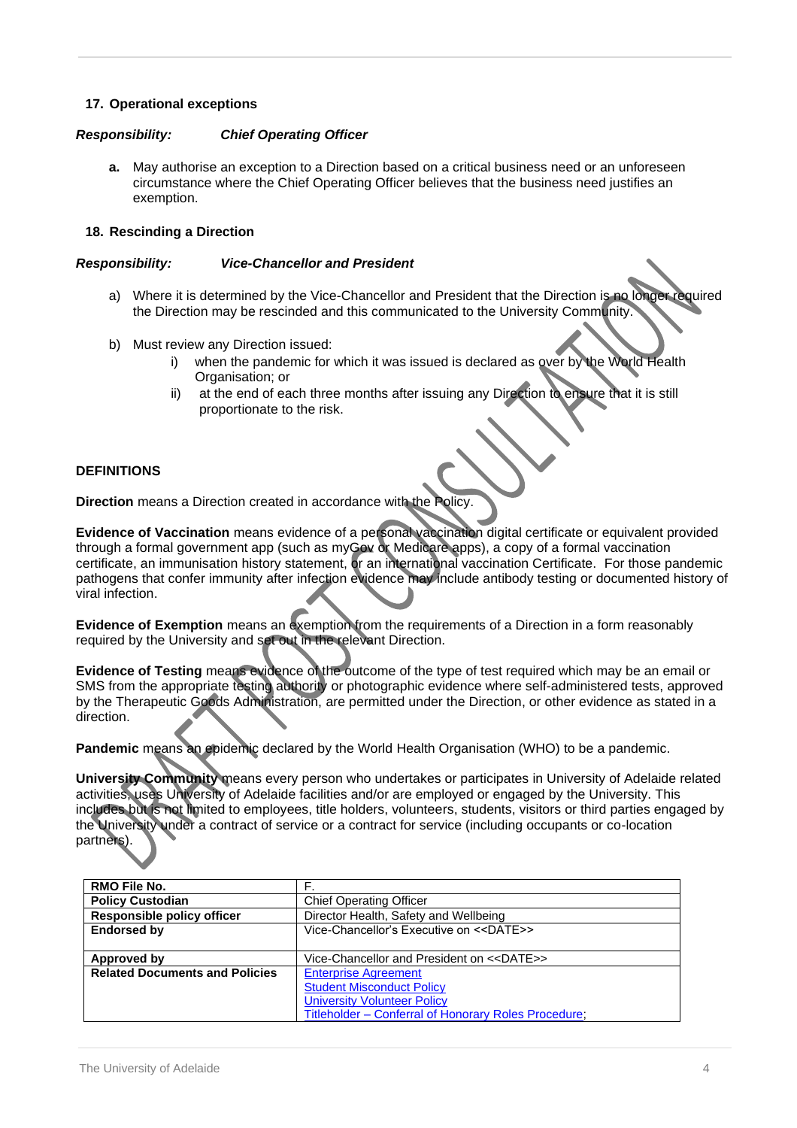## **17. Operational exceptions**

#### *Responsibility: Chief Operating Officer*

**a.** May authorise an exception to a Direction based on a critical business need or an unforeseen circumstance where the Chief Operating Officer believes that the business need justifies an exemption.

#### **18. Rescinding a Direction**

#### *Responsibility: Vice-Chancellor and President*

- a) Where it is determined by the Vice-Chancellor and President that the Direction is no longer required the Direction may be rescinded and this communicated to the University Community.
- b) Must review any Direction issued:
	- i) when the pandemic for which it was issued is declared as over by the World Health Organisation; or
	- ii) at the end of each three months after issuing any Direction to ensure that it is still proportionate to the risk.

#### **DEFINITIONS**

**Direction** means a Direction created in accordance with the Policy.

**Evidence of Vaccination** means evidence of a personal vaccination digital certificate or equivalent provided through a formal government app (such as myGov or Medicare apps), a copy of a formal vaccination certificate, an immunisation history statement, or an international vaccination Certificate. For those pandemic pathogens that confer immunity after infection evidence may include antibody testing or documented history of viral infection.

**Evidence of Exemption** means an exemption from the requirements of a Direction in a form reasonably required by the University and set out in the relevant Direction.

**Evidence of Testing** means evidence of the outcome of the type of test required which may be an email or SMS from the appropriate testing authority or photographic evidence where self-administered tests, approved by the Therapeutic Goods Administration, are permitted under the Direction, or other evidence as stated in a direction.

**Pandemic** means an epidemic declared by the World Health Organisation (WHO) to be a pandemic.

<span id="page-3-0"></span>**University Community** means every person who undertakes or participates in University of Adelaide related activities, uses University of Adelaide facilities and/or are employed or engaged by the University. This includes but is not limited to employees, title holders, volunteers, students, visitors or third parties engaged by the University under a contract of service or a contract for service (including occupants or co-location partners).

| RMO File No.                          | F.                                                   |  |  |
|---------------------------------------|------------------------------------------------------|--|--|
| <b>Policy Custodian</b>               | <b>Chief Operating Officer</b>                       |  |  |
| <b>Responsible policy officer</b>     | Director Health, Safety and Wellbeing                |  |  |
| <b>Endorsed by</b>                    | Vice-Chancellor's Executive on < <date>&gt;</date>   |  |  |
|                                       |                                                      |  |  |
| Approved by                           | Vice-Chancellor and President on < <date>&gt;</date> |  |  |
| <b>Related Documents and Policies</b> | <b>Enterprise Agreement</b>                          |  |  |
|                                       | <b>Student Misconduct Policy</b>                     |  |  |
|                                       | <b>University Volunteer Policy</b>                   |  |  |
|                                       | Titleholder - Conferral of Honorary Roles Procedure; |  |  |